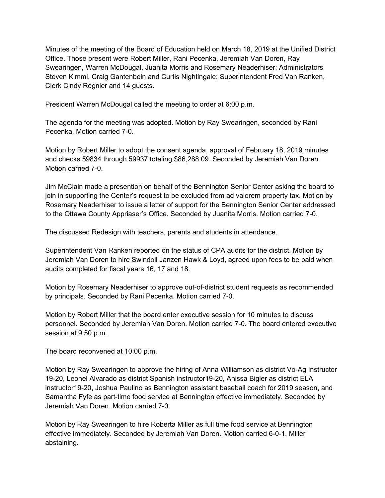Minutes of the meeting of the Board of Education held on March 18, 2019 at the Unified District Office. Those present were Robert Miller, Rani Pecenka, Jeremiah Van Doren, Ray Swearingen, Warren McDougal, Juanita Morris and Rosemary Neaderhiser; Administrators Steven Kimmi, Craig Gantenbein and Curtis Nightingale; Superintendent Fred Van Ranken, Clerk Cindy Regnier and 14 guests.

President Warren McDougal called the meeting to order at 6:00 p.m.

The agenda for the meeting was adopted. Motion by Ray Swearingen, seconded by Rani Pecenka. Motion carried 7-0.

Motion by Robert Miller to adopt the consent agenda, approval of February 18, 2019 minutes and checks 59834 through 59937 totaling \$86,288.09. Seconded by Jeremiah Van Doren. Motion carried 7-0.

Jim McClain made a presention on behalf of the Bennington Senior Center asking the board to join in supporting the Center's request to be excluded from ad valorem property tax. Motion by Rosemary Neaderhiser to issue a letter of support for the Bennington Senior Center addressed to the Ottawa County Appriaser's Office. Seconded by Juanita Morris. Motion carried 7-0.

The discussed Redesign with teachers, parents and students in attendance.

Superintendent Van Ranken reported on the status of CPA audits for the district. Motion by Jeremiah Van Doren to hire Swindoll Janzen Hawk & Loyd, agreed upon fees to be paid when audits completed for fiscal years 16, 17 and 18.

Motion by Rosemary Neaderhiser to approve out-of-district student requests as recommended by principals. Seconded by Rani Pecenka. Motion carried 7-0.

Motion by Robert Miller that the board enter executive session for 10 minutes to discuss personnel. Seconded by Jeremiah Van Doren. Motion carried 7-0. The board entered executive session at 9:50 p.m.

The board reconvened at 10:00 p.m.

Motion by Ray Swearingen to approve the hiring of Anna Williamson as district Vo-Ag Instructor 19-20, Leonel Alvarado as district Spanish instructor19-20, Anissa Bigler as district ELA instructor19-20, Joshua Paulino as Bennington assistant baseball coach for 2019 season, and Samantha Fyfe as part-time food service at Bennington effective immediately. Seconded by Jeremiah Van Doren. Motion carried 7-0.

Motion by Ray Swearingen to hire Roberta Miller as full time food service at Bennington effective immediately. Seconded by Jeremiah Van Doren. Motion carried 6-0-1, Miller abstaining.